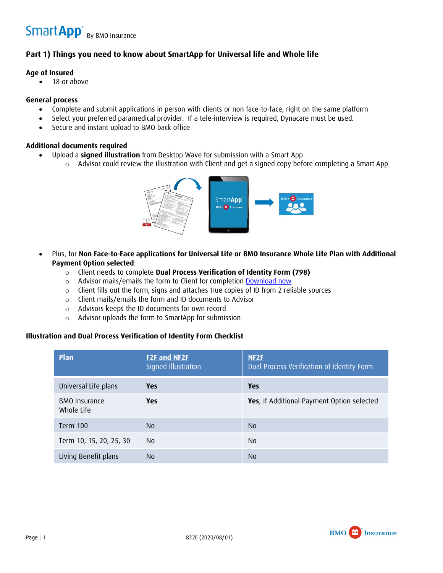## Smart App<sup>®</sup> By BMO Insurance

## **Part 1) Things you need to know about SmartApp for Universal life and Whole life**

#### **Age of Insured**

• 18 or above

#### **General process**

- Complete and submit applications in person with clients or non face-to-face, right on the same platform
- Select your preferred paramedical provider. If a tele-interview is required, Dynacare must be used.
- Secure and instant upload to BMO back office

#### **Additional documents required**

- Upload a **signed illustration** from Desktop Wave for submission with a Smart App
	- o Advisor could review the illustration with Client and get a signed copy before completing a Smart App



- Plus, for **Non Face-to-Face applications for Universal Life or BMO Insurance Whole Life Plan with Additional Payment Option selected**:
	- o Client needs to complete **Dual Process Verification of Identity Form (798)**
	- o Advisor mails/emails the form to Client for completion [Download now](https://www.bmo.com/assets/pdfs/insurance/dual-process-verification-of-identity-798e.pdf)
	- o Client fills out the form, signs and attaches true copies of ID from 2 reliable sources
	- o Client mails/emails the form and ID documents to Advisor
	- o Advisors keeps the ID documents for own record
	- o Advisor uploads the form to SmartApp for submission

#### **Illustration and Dual Process Verification of Identity Form Checklist**

| Plan                               | <b>F2F and NF2F</b><br>Signed Illustration | NF <sub>2</sub> F<br>Dual Process Verification of Identity Form |
|------------------------------------|--------------------------------------------|-----------------------------------------------------------------|
| Universal Life plans               | <b>Yes</b>                                 | Yes                                                             |
| <b>BMO</b> Insurance<br>Whole Life | <b>Yes</b>                                 | Yes, if Additional Payment Option selected                      |
| Term 100                           | N <sub>0</sub>                             | N <sub>0</sub>                                                  |
| Term 10, 15, 20, 25, 30            | No.                                        | No.                                                             |
| Living Benefit plans               | N <sub>0</sub>                             | N <sub>0</sub>                                                  |

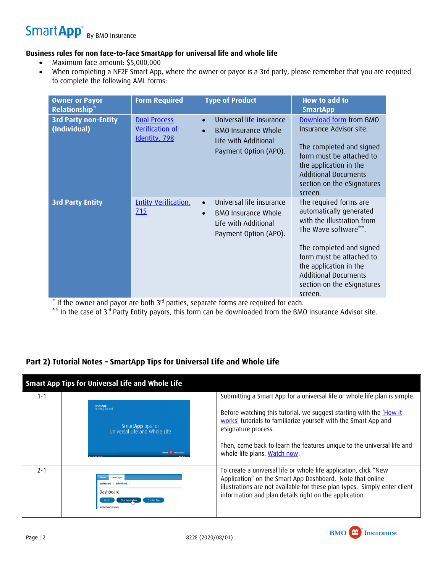# Smart App<sup>®</sup> By BMO Insurance

### **Business rules for non face-to-face SmartApp for universal life and whole life**

- Maximum face amount: \$5,000,000
- When completing a NF2F Smart App, where the owner or payor is a 3rd party, please remember that you are required to complete the following AML forms:

<span id="page-1-1"></span>

| <b>Owner or Payor</b><br><b>Relationship*</b> | <b>Form Required</b>                                           | <b>Type of Product</b>                                                                                                            | How to add to<br><b>SmartApp</b>                                                                                                                                                                                                                                  |
|-----------------------------------------------|----------------------------------------------------------------|-----------------------------------------------------------------------------------------------------------------------------------|-------------------------------------------------------------------------------------------------------------------------------------------------------------------------------------------------------------------------------------------------------------------|
| <b>3rd Party non-Entity</b><br>(Individual)   | <b>Dual Process</b><br><b>Verification of</b><br>Identity, 798 | Universal life insurance<br>$\bullet$<br><b>BMO Insurance Whole</b><br>$\bullet$<br>Life with Additional<br>Payment Option (APO). | Download form from BMO<br>Insurance Advisor site.<br>The completed and signed<br>form must be attached to<br>the application in the<br><b>Additional Documents</b><br>section on the eSignatures<br>screen.                                                       |
| <b>3rd Party Entity</b>                       | <b>Entity Verification,</b><br>715                             | Universal life insurance<br>$\bullet$<br><b>BMO Insurance Whole</b><br>$\bullet$<br>Life with Additional<br>Payment Option (APO). | The required forms are<br>automatically generated<br>with the illustration from<br>The Wave software**.<br>The completed and signed<br>form must be attached to<br>the application in the<br><b>Additional Documents</b><br>section on the eSignatures<br>screen. |

<span id="page-1-0"></span> $*$  If the owner and payor are both  $3<sup>rd</sup>$  parties, separate forms are required for each.

<span id="page-1-2"></span>[\\*\\*](#page-1-3) In the case of 3<sup>rd</sup> Party Entity payors, this form can be downloaded from the BMO Insurance Advisor site.

## **Part 2) Tutorial Notes – SmartApp Tips for Universal Life and Whole Life**

| <b>Smart App Tips for Universal Life and Whole Life</b> |                                                                                                              |                                                                                                                                                                                                                                                                               |  |  |
|---------------------------------------------------------|--------------------------------------------------------------------------------------------------------------|-------------------------------------------------------------------------------------------------------------------------------------------------------------------------------------------------------------------------------------------------------------------------------|--|--|
| $1 - 1$                                                 |                                                                                                              | Submitting a Smart App for a universal life or whole life plan is simple.                                                                                                                                                                                                     |  |  |
|                                                         | SmartApp'<br>Training tutorial<br>SmartApp tips for<br>Universal Life and Whole Life<br><b>BMO</b> Insurance | Before watching this tutorial, we suggest starting with the <i>How it</i><br>works' tutorials to familiarize yourself with the Smart App and<br>eSignature process.<br>Then, come back to learn the features unique to the universal life and<br>whole life plans. Watch now. |  |  |
| $7 - 1$                                                 | mart App<br>Dashboard Submitted<br>Dashboard<br>Practice And<br>Application Summa                            | To create a universal life or whole life application, click "New<br>Application" on the Smart App Dashboard. Note that online<br>illustrations are not available for these plan types. Simply enter client<br>information and plan details right on the application.          |  |  |

<span id="page-1-3"></span>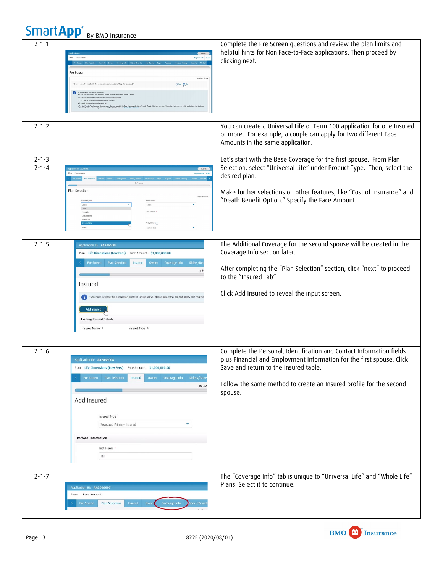| <b>SmartApp</b> <sup>®</sup> | By BMO Insurance                                                                                                                                                                                                                                                                                                                                                                                  |                                                                                                                                                                                                                                                                                               |
|------------------------------|---------------------------------------------------------------------------------------------------------------------------------------------------------------------------------------------------------------------------------------------------------------------------------------------------------------------------------------------------------------------------------------------------|-----------------------------------------------------------------------------------------------------------------------------------------------------------------------------------------------------------------------------------------------------------------------------------------------|
| $2 - 1 - 1$                  | Face Amp<br>Pre Screen<br><b>Required Fields</b><br>O'res Ma<br>nally meet with the person(s) to be insured and the policy ow                                                                                                                                                                                                                                                                     | Complete the Pre Screen questions and review the plan limits and<br>helpful hints for Non Face-to-Face applications. Then proceed by<br>clicking next.                                                                                                                                        |
| $2 - 1 - 2$                  |                                                                                                                                                                                                                                                                                                                                                                                                   | You can create a Universal Life or Term 100 application for one Insured<br>or more. For example, a couple can apply for two different Face<br>Amounts in the same application.                                                                                                                |
| $2 - 1 - 3$<br>$2 - 1 - 4$   | Plan Selection<br>Required Fields<br>Product Type<br>Plan Name<br>select<br>Select<br>select<br>Face Amoun<br>Term Life<br>Critical filters<br>atide tife<br>Policy Date * (?)<br>Current Date                                                                                                                                                                                                    | Let's start with the Base Coverage for the first spouse. From Plan<br>Selection, select "Universal Life" under Product Type. Then, select the<br>desired plan.<br>Make further selections on other features, like "Cost of Insurance" and<br>"Death Benefit Option." Specify the Face Amount. |
| $2 - 1 - 5$                  | Application ID: AA2066007<br>Plan: Life Dimensions (Low Fees) Face Amount: \$1,000,000.00<br>Pre Screen Plan Selection<br>Coverage Info<br>Riders/B<br><b>Insured</b><br>Owner<br>In $F$<br>Insured<br>If you have initiated this application from the Online Wave, please select the Insured below and com<br>Add Insured<br><b>Existing Insured Details</b><br>Insured Name ©<br>Insured Type © | The Additional Coverage for the second spouse will be created in the<br>Coverage Info section later.<br>After completing the "Plan Selection" section, click "next" to proceed<br>to the "Insured Tab"<br>Click Add Insured to reveal the input screen.                                       |
| $2 - 1 - 6$                  | Application ID: AA2066008<br>Plan: Life Dimensions (Low Fees) Face Amount: \$1,000,000.00<br>Riders/Bene<br>Pre Screen Plan Selection<br>Insured<br>Owner<br>Coverage Info<br>In Pro<br>Add Insured<br>Insured Type -<br>Proposed Primary Insured<br>۳<br>Personal Information<br>First Name *<br>Bill                                                                                            | Complete the Personal, Identification and Contact Information fields<br>plus Financial and Employment Information for the first spouse. Click<br>Save and return to the Insured table.<br>Follow the same method to create an Insured profile for the second<br>spouse.                       |
| $2 - 1 - 7$                  | Application ID: AA2066007<br>Face Amount:<br>Plan:<br><b>Plan Selection</b><br><b>Insured</b><br>Coverage Info<br>Own<br>iders/Benet<br><b>Pre Screen</b><br>In Broy                                                                                                                                                                                                                              | The "Coverage Info" tab is unique to "Universal Life" and "Whole Life"<br>Plans. Select it to continue.                                                                                                                                                                                       |

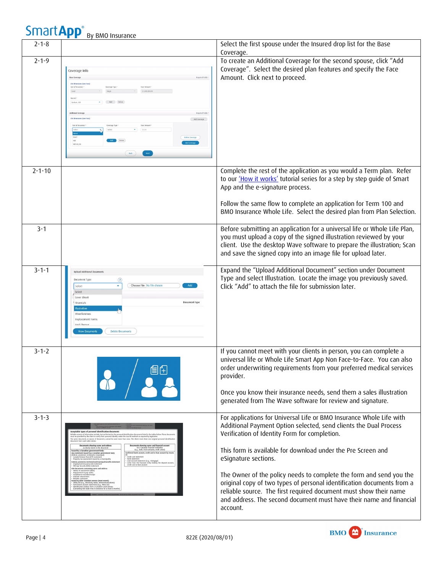| эного кри    | By BMO Insurance                                                                                                                                                                                                                                                                                                                                                                                                                                                                                                                                                                                                                                                                                                                                                                                                                                                                                                                                                                                                                                                                                                                                                                                                                                                                                                                                                                                                                                                                                                                                                                                                                                                                                                        |                                                                                                                                                                                                                                                                                                                                                                                                                                                                                                                                                                                             |
|--------------|-------------------------------------------------------------------------------------------------------------------------------------------------------------------------------------------------------------------------------------------------------------------------------------------------------------------------------------------------------------------------------------------------------------------------------------------------------------------------------------------------------------------------------------------------------------------------------------------------------------------------------------------------------------------------------------------------------------------------------------------------------------------------------------------------------------------------------------------------------------------------------------------------------------------------------------------------------------------------------------------------------------------------------------------------------------------------------------------------------------------------------------------------------------------------------------------------------------------------------------------------------------------------------------------------------------------------------------------------------------------------------------------------------------------------------------------------------------------------------------------------------------------------------------------------------------------------------------------------------------------------------------------------------------------------------------------------------------------------|---------------------------------------------------------------------------------------------------------------------------------------------------------------------------------------------------------------------------------------------------------------------------------------------------------------------------------------------------------------------------------------------------------------------------------------------------------------------------------------------------------------------------------------------------------------------------------------------|
| $2 - 1 - 8$  |                                                                                                                                                                                                                                                                                                                                                                                                                                                                                                                                                                                                                                                                                                                                                                                                                                                                                                                                                                                                                                                                                                                                                                                                                                                                                                                                                                                                                                                                                                                                                                                                                                                                                                                         | Select the first spouse under the Insured drop list for the Base<br>Coverage.                                                                                                                                                                                                                                                                                                                                                                                                                                                                                                               |
| $2 - 1 - 9$  | Coverage Info<br>Base Coverag<br>Required Fields<br>Life Dire<br>Cost of Insurance<br>Coverage Type<br>\$1,000,000.0<br>Add Oelete<br>Graham, B<br>Required Fields<br>Additional Cov<br>tife fri<br>Add Coverage<br>Face Amou<br>Cost of Insur<br>Coverage Type<br>Delete Coverage<br>YRT 85/20<br>$\mathsf{Next}$<br>$_{\rm Bdk}$                                                                                                                                                                                                                                                                                                                                                                                                                                                                                                                                                                                                                                                                                                                                                                                                                                                                                                                                                                                                                                                                                                                                                                                                                                                                                                                                                                                      | To create an Additional Coverage for the second spouse, click "Add<br>Coverage". Select the desired plan features and specify the Face<br>Amount. Click next to proceed.                                                                                                                                                                                                                                                                                                                                                                                                                    |
| $2 - 1 - 10$ |                                                                                                                                                                                                                                                                                                                                                                                                                                                                                                                                                                                                                                                                                                                                                                                                                                                                                                                                                                                                                                                                                                                                                                                                                                                                                                                                                                                                                                                                                                                                                                                                                                                                                                                         | Complete the rest of the application as you would a Term plan. Refer<br>to our 'How it works' tutorial series for a step by step guide of Smart<br>App and the e-signature process.<br>Follow the same flow to complete an application for Term 100 and<br>BMO Insurance Whole Life. Select the desired plan from Plan Selection.                                                                                                                                                                                                                                                           |
| $3 - 1$      |                                                                                                                                                                                                                                                                                                                                                                                                                                                                                                                                                                                                                                                                                                                                                                                                                                                                                                                                                                                                                                                                                                                                                                                                                                                                                                                                                                                                                                                                                                                                                                                                                                                                                                                         | Before submitting an application for a universal life or Whole Life Plan,<br>you must upload a copy of the signed illustration reviewed by your<br>client. Use the desktop Wave software to prepare the illustration; Scan<br>and save the signed copy into an image file for upload later.                                                                                                                                                                                                                                                                                                 |
| $3 - 1 - 1$  | <b>Upload Additional Documents</b><br>$\circledR$<br><b>Document Type</b><br>Add<br>Choose File No file chosen<br>Select<br>Select<br>Cover Sheet<br>Document type<br>Financials<br>Illustration<br>Miscellaneous<br>Replacement Forms<br>Void Choy<br><b>Delete Documents</b><br><b>View Document</b>                                                                                                                                                                                                                                                                                                                                                                                                                                                                                                                                                                                                                                                                                                                                                                                                                                                                                                                                                                                                                                                                                                                                                                                                                                                                                                                                                                                                                  | Expand the "Upload Additional Document" section under Document<br>Type and select Illustration. Locate the image you previously saved.<br>Click "Add" to attach the file for submission later.                                                                                                                                                                                                                                                                                                                                                                                              |
| $3 - 1 - 2$  | 倡任                                                                                                                                                                                                                                                                                                                                                                                                                                                                                                                                                                                                                                                                                                                                                                                                                                                                                                                                                                                                                                                                                                                                                                                                                                                                                                                                                                                                                                                                                                                                                                                                                                                                                                                      | If you cannot meet with your clients in person, you can complete a<br>universal life or Whole Life Smart App Non Face-to-Face. You can also<br>order underwriting requirements from your preferred medical services<br>provider.<br>Once you know their insurance needs, send them a sales illustration<br>generated from The Wave software for review and signature.                                                                                                                                                                                                                       |
| $3 - 1 - 3$  | ceptable types of personal identification documents:<br>.<br>Les of information include, but not limited to, the personal identification documents listed in the ta<br>ided by the client to verify their personal identity under the dual ID methed as required by legis<br>nt, or source of document, cannot be used more than once. The client must show one original p<br>ch table below:<br>Documents showing name and address<br>as clearly stated in the document<br>Documents showing name and financial account<br>for a Canadian financial institution<br>(e.g., bank, trust company, credit union)<br>and an occurrent body:<br><b>Ed by a Canadian government body:</b><br>statement issued by a Canadian government body<br>Etal, provincial termorial or municipal)<br>anada Persion Plan (CPP) statement<br>operty tax assessment issued by a m<br>infirmed bank account, credit card or loan account by<br><b>Credit card statement</b><br><b>Rank state</b><br>Loan account statement (e.g., mortgage)<br>Letter from the financial entity holding the deposit account<br>credit card or loan account<br>leral, provincial, territorial and municipal benefits sta<br>mployment Insurance (B) statement<br>Ild Age Security (OAS) statement<br>or a decuments containing name and address<br>solice of assessment (NOA)<br>sequiement to pay notice<br>explicement to pay notice<br>assimiliment reminder/receipt<br>SSI/NST reland letter<br>RA docu<br>enettis statement<br>ed by other Canadian sources (most recent):<br>tility bill (e.g., electricity, water, telecommunications)<br>westment account statements (e.g., BSSP, 61()<br>lentification product from a Canadian credit bureau<br>con | For applications for Universal Life or BMO Insurance Whole Life with<br>Additional Payment Option selected, send clients the Dual Process<br>Verification of Identity Form for completion.<br>This form is available for download under the Pre Screen and<br>eSignature sections.<br>The Owner of the policy needs to complete the form and send you the<br>original copy of two types of personal identification documents from a<br>reliable source. The first required document must show their name<br>and address. The second document must have their name and financial<br>account. |



**Smart Ann<sup>®</sup>**